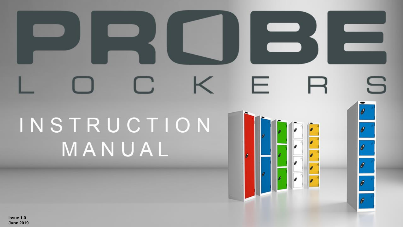# S F a di INSTRUCTION MANUAL ۰ ø  $\theta$

۰

 $\theta$ 

**Issue 1.0 June 2019**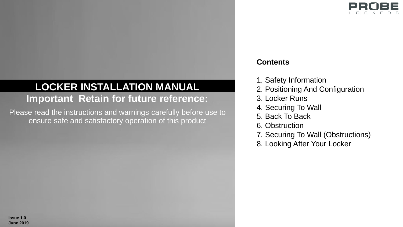

## **Important Retain for future reference: LOCKER INSTALLATION MANUAL**

Please read the instructions and warnings carefully before use to ensure safe and satisfactory operation of this product

## **Contents**

- 1. Safety Information
- 2. Positioning And Configuration
- 3. Locker Runs
- 4. Securing To Wall
- 5. Back To Back
- 6. Obstruction
- 7. Securing To Wall (Obstructions)
- 8. Looking After Your Locker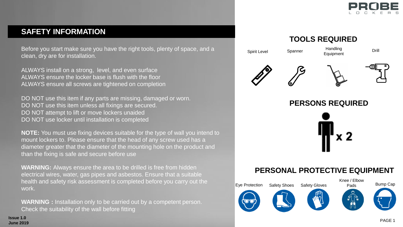

## **SAFETY INFORMATION**

Before you start make sure you have the right tools, plenty of space, and a clean, dry are for installation.

ALWAYS install on a strong, level, and even surface ALWAYS ensure the locker base is flush with the floor ALWAYS ensure all screws are tightened on completion

DO NOT use this item if any parts are missing, damaged or worn. DO NOT use this item unless all fixings are secured. DO NOT attempt to lift or move lockers unaided DO NOT use locker until installation is completed

**NOTE:** You must use fixing devices suitable for the type of wall you intend to mount lockers to. Please ensure that the head of any screw used has a diameter greater that the diameter of the mounting hole on the product and than the fixing is safe and secure before use

**WARNING:** Always ensure the area to be drilled is free from hidden electrical wires, water, gas pipes and asbestos. Ensure that a suitable health and safety risk assessment is completed before you carry out the work.

**WARNING :** Installation only to be carried out by a competent person. Check the suitability of the wall before fitting

## **TOOLS REQUIRED**

Spirit Level Spanner Handling Equipment

Drill







**PERSONS REQUIRED**



## **PERSONAL PROTECTIVE EQUIPMENT**



**Issue 1.0 June 2019**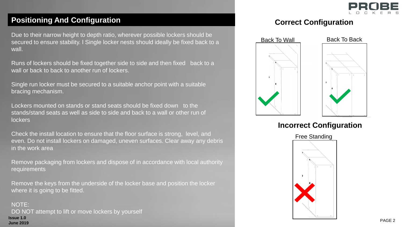

## **Positioning And Configuration**

Due to their narrow height to depth ratio, wherever possible lockers should be secured to ensure stability. I Single locker nests should ideally be fixed back to a wall.

Runs of lockers should be fixed together side to side and then fixed back to a wall or back to back to another run of lockers.

Single run locker must be secured to a suitable anchor point with a suitable bracing mechanism.

Lockers mounted on stands or stand seats should be fixed down to the stands/stand seats as well as side to side and back to a wall or other run of lockers

Check the install location to ensure that the floor surface is strong, level, and even. Do not install lockers on damaged, uneven surfaces. Clear away any debris in the work area

Remove packaging from lockers and dispose of in accordance with local authority requirements

Remove the keys from the underside of the locker base and position the locker where it is going to be fitted.

NOTE: DO NOT attempt to lift or move lockers by yourself **Issue 1.0 June 2019**

## **Correct Configuration**



## **Incorrect Configuration**

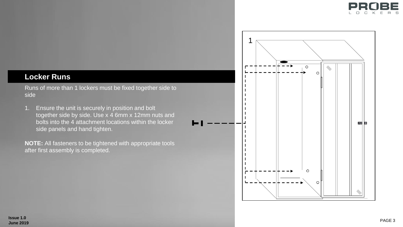

## **Locker Runs**

Runs of more than 1 lockers must be fixed together side to side

1. Ensure the unit is securely in position and bolt together side by side. Use x 4 6mm x 12mm nuts and bolts into the 4 attachment locations within the locker side panels and hand tighten.

**NOTE:** All fasteners to be tightened with appropriate tools after first assembly is completed.

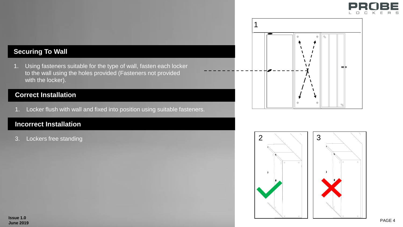



1. Using fasteners suitable for the type of wall, fasten each locker to the wall using the holes provided (Fasteners not provided with the locker).

#### **Correct Installation**

1. Locker flush with wall and fixed into position using suitable fasteners.

#### **Incorrect Installation**

3. Lockers free standing



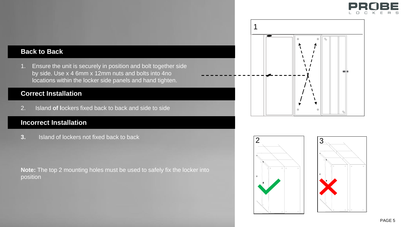

#### **Back to Back**

1. Ensure the unit is securely in position and bolt together side by side. Use x 4 6mm x 12mm nuts and bolts into 4no locations within the locker side panels and hand tighten.

#### **Correct Installation**

2. Island **of l**ockers fixed back to back and side to side

#### **Incorrect Installation**

**3.** Island of lockers not fixed back to back

**Note:** The top 2 mounting holes must be used to safely fix the locker into position





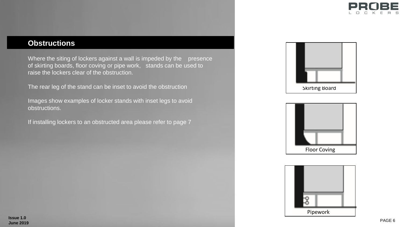

## **Obstructions**

Where the siting of lockers against a wall is impeded by the presence of skirting boards, floor coving or pipe work, stands can be used to raise the lockers clear of the obstruction.

The rear leg of the stand can be inset to avoid the obstruction

Images show examples of locker stands with inset legs to avoid obstructions.

If installing lockers to an obstructed area please refer to page 7





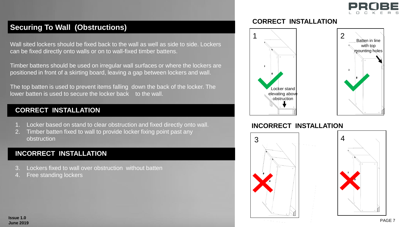

## **Securing To Wall (Obstructions)**

Wall sited lockers should be fixed back to the wall as well as side to side. Lockers can be fixed directly onto walls or on to wall-fixed timber battens.

Timber battens should be used on irregular wall surfaces or where the lockers are positioned in front of a skirting board, leaving a gap between lockers and wall.

The top batten is used to prevent items falling down the back of the locker. The lower batten is used to secure the locker back to the wall.

#### **CORRECT INSTALLATION**

- 1. Locker based on stand to clear obstruction and fixed directly onto wall.
- 2. Timber batten fixed to wall to provide locker fixing point past any obstruction

#### **INCORRECT INSTALLATION**

- Lockers fixed to wall over obstruction without batten
- Free standing lockers

#### **CORRECT INSTALLATION**



#### **INCORRECT INSTALLATION**